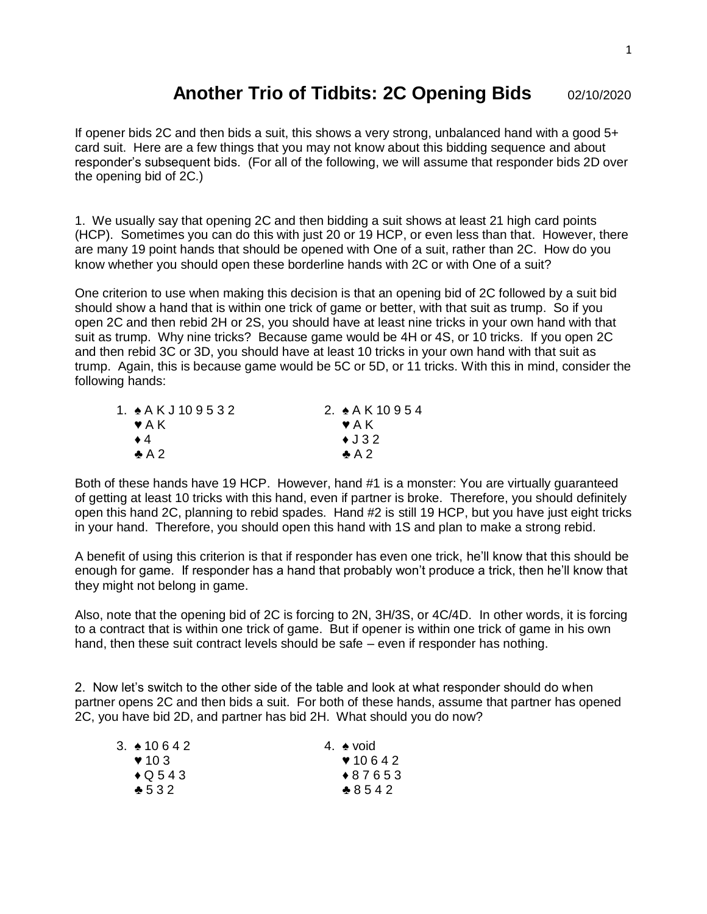## **Another Trio of Tidbits: 2C Opening Bids** 02/10/2020

If opener bids 2C and then bids a suit, this shows a very strong, unbalanced hand with a good  $5+$ card suit. Here are a few things that you may not know about this bidding sequence and about responder's subsequent bids. (For all of the following, we will assume that responder bids 2D over the opening bid of 2C.)

1. We usually say that opening 2C and then bidding a suit shows at least 21 high card points (HCP). Sometimes you can do this with just 20 or 19 HCP, or even less than that. However, there are many 19 point hands that should be opened with One of a suit, rather than 2C. How do you know whether you should open these borderline hands with 2C or with One of a suit?

One criterion to use when making this decision is that an opening bid of 2C followed by a suit bid should show a hand that is within one trick of game or better, with that suit as trump. So if you open 2C and then rebid 2H or 2S, you should have at least nine tricks in your own hand with that suit as trump. Why nine tricks? Because game would be 4H or 4S, or 10 tricks. If you open 2C and then rebid 3C or 3D, you should have at least 10 tricks in your own hand with that suit as trump. Again, this is because game would be 5C or 5D, or 11 tricks. With this in mind, consider the following hands:

| 1. $\angle$ AKJ109532     | 2. $\angle$ A K 10 9 5 4 |
|---------------------------|--------------------------|
| $\blacktriangleright$ A K | $\blacktriangledown$ A K |
| $\bullet$ 4               | $\triangleleft$ J 32     |
| $\clubsuit$ A 2           | $\clubsuit$ A 2          |

Both of these hands have 19 HCP. However, hand #1 is a monster: You are virtually guaranteed of getting at least 10 tricks with this hand, even if partner is broke. Therefore, you should definitely open this hand 2C, planning to rebid spades. Hand #2 is still 19 HCP, but you have just eight tricks in your hand. Therefore, you should open this hand with 1S and plan to make a strong rebid.

A benefit of using this criterion is that if responder has even one trick, he'll know that this should be enough for game. If responder has a hand that probably won't produce a trick, then he'll know that they might not belong in game.

Also, note that the opening bid of 2C is forcing to 2N, 3H/3S, or 4C/4D. In other words, it is forcing to a contract that is within one trick of game. But if opener is within one trick of game in his own hand, then these suit contract levels should be safe – even if responder has nothing.

2. Now let's switch to the other side of the table and look at what responder should do when partner opens 2C and then bids a suit. For both of these hands, assume that partner has opened 2C, you have bid 2D, and partner has bid 2H. What should you do now?

| 3. ♦ 10.642               | 4. $\bullet$ void |
|---------------------------|-------------------|
| $\blacktriangledown$ 10 3 | 910642            |
| $\bigstar$ Q 543          | $*87653$          |
| $*532$                    | $*8542$           |
|                           |                   |